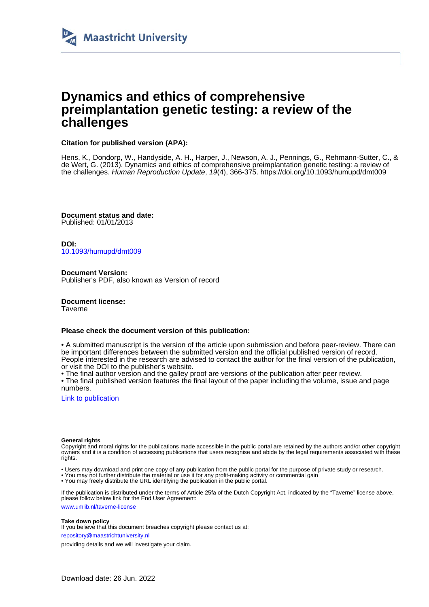

# **Dynamics and ethics of comprehensive preimplantation genetic testing: a review of the challenges**

#### **Citation for published version (APA):**

Hens, K., Dondorp, W., Handyside, A. H., Harper, J., Newson, A. J., Pennings, G., Rehmann-Sutter, C., & de Wert, G. (2013). Dynamics and ethics of comprehensive preimplantation genetic testing: a review of the challenges. Human Reproduction Update, 19(4), 366-375.<https://doi.org/10.1093/humupd/dmt009>

**Document status and date:** Published: 01/01/2013

**DOI:** [10.1093/humupd/dmt009](https://doi.org/10.1093/humupd/dmt009)

**Document Version:** Publisher's PDF, also known as Version of record

**Document license:** Taverne

#### **Please check the document version of this publication:**

• A submitted manuscript is the version of the article upon submission and before peer-review. There can be important differences between the submitted version and the official published version of record. People interested in the research are advised to contact the author for the final version of the publication, or visit the DOI to the publisher's website.

• The final author version and the galley proof are versions of the publication after peer review.

• The final published version features the final layout of the paper including the volume, issue and page numbers.

[Link to publication](https://cris.maastrichtuniversity.nl/en/publications/c13a83cb-d31c-4ee4-ae50-cdebee17ddec)

#### **General rights**

Copyright and moral rights for the publications made accessible in the public portal are retained by the authors and/or other copyright owners and it is a condition of accessing publications that users recognise and abide by the legal requirements associated with these rights.

• Users may download and print one copy of any publication from the public portal for the purpose of private study or research.

• You may not further distribute the material or use it for any profit-making activity or commercial gain

• You may freely distribute the URL identifying the publication in the public portal.

If the publication is distributed under the terms of Article 25fa of the Dutch Copyright Act, indicated by the "Taverne" license above, please follow below link for the End User Agreement:

www.umlib.nl/taverne-license

#### **Take down policy**

If you believe that this document breaches copyright please contact us at:

repository@maastrichtuniversity.nl

providing details and we will investigate your claim.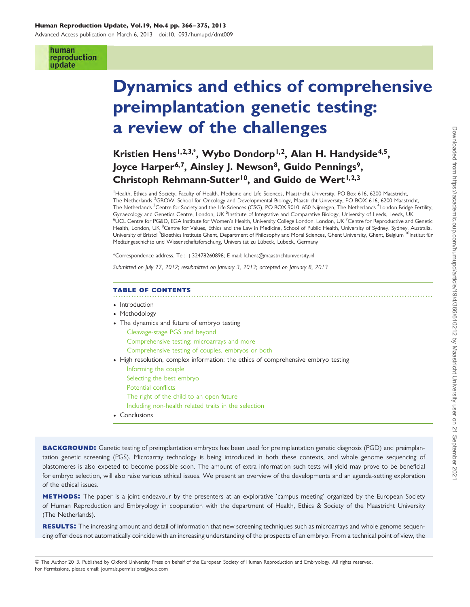Advanced Access publication on March 6, 2013 doi:10.1093/humupd/dmt009

human reproduction update

# Dynamics and ethics of comprehensive preimplantation genetic testing: a review of the challenges

# Kristien Hens<sup>1,2,3,\*</sup>, Wybo Dondorp<sup>1,2</sup>, Alan H. Handyside<sup>4,5</sup>, Joyce Harper<sup>6,7</sup>, Ainsley J. Newson<sup>8</sup>, Guido Pennings<sup>9</sup>, Christoph Rehmann-Sutter<sup>10</sup>, and Guido de Wert<sup>1,2,3</sup>

<sup>1</sup> Health, Ethics and Society, Faculty of Health, Medicine and Life Sciences, Maastricht University, PO Box 616, 6200 Maastricht, The Netherlands <sup>2</sup>GROW, School for Oncology and Developmental Biology, Maastricht University, PO BOX 616, 6200 Maastricht, The Netherlands <sup>3</sup>Centre for Society and the Life Sciences (CSG), PO BOX 9010, 650 Nijmegen, The Netherlands <sup>4</sup>London Bridge Fertility, Gynaecology and Genetics Centre, London, UK <sup>5</sup>Institute of Integrative and Comparative Biology, University of Leeds, Leeds, UK<br><sup>6</sup>LICL Centre for PC&D, ECA Institute for Women's Health Liniversity College London, London, UCL Centre for PG&D, EGA Institute for Women's Health, University College London, London, UK <sup>7</sup> Centre for Reproductive and Genetic Health, London, UK <sup>8</sup>Centre for Values, Ethics and the Law in Medicine, School of Public Health, University of Sydney, Sydney, Australia,<br>University of Bristol <sup>9</sup>Bioethics Institute Ghent, Department of Philosophy and Mo Medizingeschichte und Wissenschaftsforschung, Universität zu Lübeck, Lübeck, Germany

\*Correspondence address. Tel: +32478260898; E-mail: k.hens@maastrichtuniversity.nl

Submitted on July 27, 2012; resubmitted on January 3, 2013; accepted on January 8, 2013

#### ........................................................................................................................... table of contents

- Introduction
- Methodology
- The dynamics and future of embryo testing

Cleavage-stage PGS and beyond

- Comprehensive testing: microarrays and more
- Comprehensive testing of couples, embryos or both
- High resolution, complex information: the ethics of comprehensive embryo testing
	- Informing the couple
	- Selecting the best embryo
	- Potential conflicts
	- The right of the child to an open future
	- Including non-health related traits in the selection
- Conclusions

**BACKGROUND:** Genetic testing of preimplantation embryos has been used for preimplantation genetic diagnosis (PGD) and preimplantation genetic screening (PGS). Microarray technology is being introduced in both these contexts, and whole genome sequencing of blastomeres is also expeted to become possible soon. The amount of extra information such tests will yield may prove to be beneficial for embryo selection, will also raise various ethical issues. We present an overview of the developments and an agenda-setting exploration of the ethical issues.

METHODS: The paper is a joint endeavour by the presenters at an explorative 'campus meeting' organized by the European Society of Human Reproduction and Embryology in cooperation with the department of Health, Ethics & Society of the Maastricht University (The Netherlands).

RESULTS: The increasing amount and detail of information that new screening techniques such as microarrays and whole genome sequencing offer does not automatically coincide with an increasing understanding of the prospects of an embryo. From a technical point of view, the

& The Author 2013. Published by Oxford University Press on behalf of the European Society of Human Reproduction and Embryology. All rights reserved. For Permissions, please email: journals.permissions@oup.com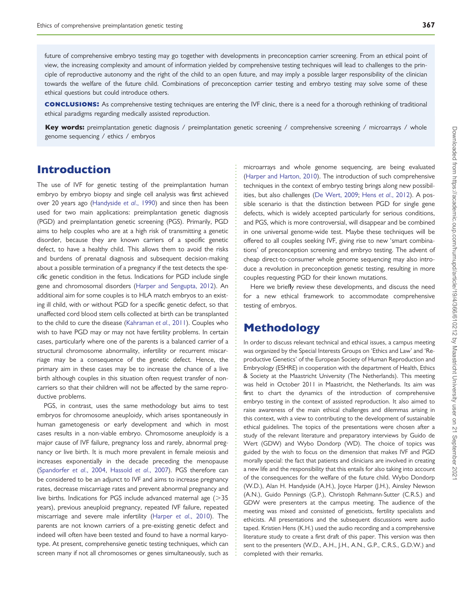future of comprehensive embryo testing may go together with developments in preconception carrier screening. From an ethical point of view, the increasing complexity and amount of information yielded by comprehensive testing techniques will lead to challenges to the principle of reproductive autonomy and the right of the child to an open future, and may imply a possible larger responsibility of the clinician towards the welfare of the future child. Combinations of preconception carrier testing and embryo testing may solve some of these ethical questions but could introduce others.

conclusions: As comprehensive testing techniques are entering the IVF clinic, there is a need for a thorough rethinking of traditional ethical paradigms regarding medically assisted reproduction.

Key words: preimplantation genetic diagnosis / preimplantation genetic screening / comprehensive screening / microarrays / whole genome sequencing / ethics / embryos

### Introduction

The use of IVF for genetic testing of the preimplantation human embryo by embryo biopsy and single cell analysis was first achieved over 20 years ago [\(Handyside](#page-9-0) et al., 1990) and since then has been used for two main applications: preimplantation genetic diagnosis (PGD) and preimplantation genetic screening (PGS). Primarily, PGD aims to help couples who are at a high risk of transmitting a genetic disorder, because they are known carriers of a specific genetic defect, to have a healthy child. This allows them to avoid the risks and burdens of prenatal diagnosis and subsequent decision-making about a possible termination of a pregnancy if the test detects the specific genetic condition in the fetus. Indications for PGD include single gene and chromosomal disorders [\(Harper and Sengupta, 2012\)](#page-9-0). An additional aim for some couples is to HLA match embryos to an existing ill child, with or without PGD for a specific genetic defect, so that unaffected cord blood stem cells collected at birth can be transplanted to the child to cure the disease ([Kahraman](#page-10-0) et al., 2011). Couples who wish to have PGD may or may not have fertility problems. In certain cases, particularly where one of the parents is a balanced carrier of a structural chromosome abnormality, infertility or recurrent miscarriage may be a consequence of the genetic defect. Hence, the primary aim in these cases may be to increase the chance of a live birth although couples in this situation often request transfer of noncarriers so that their children will not be affected by the same reproductive problems.

PGS, in contrast, uses the same methodology but aims to test embryos for chromosome aneuploidy, which arises spontaneously in human gametogenesis or early development and which in most cases results in a non-viable embryo. Chromosome aneuploidy is a major cause of IVF failure, pregnancy loss and rarely, abnormal pregnancy or live birth. It is much more prevalent in female meiosis and increases exponentially in the decade preceding the menopause [\(Spandorfer](#page-10-0) et al., 2004, [Hassold](#page-10-0) et al., 2007). PGS therefore can be considered to be an adjunct to IVF and aims to increase pregnancy rates, decrease miscarriage rates and prevent abnormal pregnancy and live births. Indications for PGS include advanced maternal age  $(>35$ years), previous aneuploid pregnancy, repeated IVF failure, repeated miscarriage and severe male infertility (Harper et al[., 2010\)](#page-9-0). The parents are not known carriers of a pre-existing genetic defect and indeed will often have been tested and found to have a normal karyotype. At present, comprehensive genetic testing techniques, which can screen many if not all chromosomes or genes simultaneously, such as

microarrays and whole genome sequencing, are being evaluated [\(Harper and Harton, 2010](#page-9-0)). The introduction of such comprehensive techniques in the context of embryo testing brings along new possibilities, but also challenges [\(De Wert, 2009;](#page-9-0) Hens et al[., 2012](#page-10-0)). A possible scenario is that the distinction between PGD for single gene defects, which is widely accepted particularly for serious conditions, and PGS, which is more controversial, will disappear and be combined in one universal genome-wide test. Maybe these techniques will be offered to all couples seeking IVF, giving rise to new 'smart combinations' of preconception screening and embryo testing. The advent of cheap direct-to-consumer whole genome sequencing may also introduce a revolution in preconception genetic testing, resulting in more couples requesting PGD for their known mutations.

Here we briefly review these developments, and discuss the need for a new ethical framework to accommodate comprehensive testing of embryos.

# Methodology

In order to discuss relevant technical and ethical issues, a campus meeting was organized by the Special Interests Groups on 'Ethics and Law' and 'Reproductive Genetics' of the European Society of Human Reproduction and Embryology (ESHRE) in cooperation with the department of Health, Ethics & Society at the Maastricht University (The Netherlands). This meeting was held in October 2011 in Maastricht, the Netherlands. Its aim was first to chart the dynamics of the introduction of comprehensive embryo testing in the context of assisted reproduction. It also aimed to raise awareness of the main ethical challenges and dilemmas arising in this context, with a view to contributing to the development of sustainable ethical guidelines. The topics of the presentations were chosen after a study of the relevant literature and preparatory interviews by Guido de Wert (GDW) and Wybo Dondorp (WD). The choice of topics was guided by the wish to focus on the dimension that makes IVF and PGD morally special: the fact that patients and clinicians are involved in creating a new life and the responsibility that this entails for also taking into account of the consequences for the welfare of the future child. Wybo Dondorp (W.D.), Alan H. Handyside (A.H.), Joyce Harper (J.H.), Ainsley Newson (A.N.), Guido Pennings (G.P.), Christoph Rehmann-Sutter (C.R.S.) and GDW were presenters at the campus meeting. The audience of the meeting was mixed and consisted of geneticists, fertility specialists and ethicists. All presentations and the subsequent discussions were audio taped. Kristien Hens (K.H.) used the audio recording and a comprehensive literature study to create a first draft of this paper. This version was then sent to the presenters (W.D., A.H., J.H., A.N., G.P., C.R.S., G.D.W.) and completed with their remarks.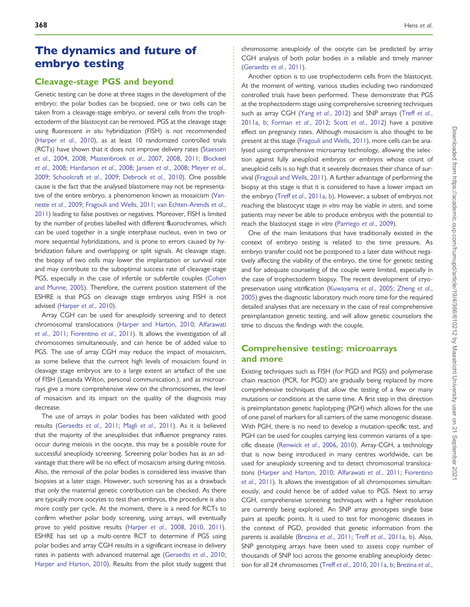# The dynamics and future of embryo testing

#### Cleavage-stage PGS and beyond

Genetic testing can be done at three stages in the development of the embryo: the polar bodies can be biopsied, one or two cells can be taken from a cleavage-stage embryo, or several cells from the trophectoderm of the blastocyst can be removed. PGS at the cleavage stage using fluorescent in situ hybridization (FISH) is not recommended (Harper et al[., 2010\)](#page-9-0), as at least 10 randomized controlled trials (RCTs) have shown that it does not improve delivery rates [\(Staessen](#page-10-0) et al[., 2004,](#page-10-0) [2008;](#page-10-0) [Mastenbroek](#page-10-0) et al., 2007, [2008,](#page-10-0) [2011;](#page-10-0) [Blockeel](#page-9-0) et al[., 2008](#page-9-0); [Hardarson](#page-9-0) et al., 2008; Jansen et al[., 2008](#page-10-0); [Meyer](#page-10-0) et al., [2009](#page-10-0); [Schoolcraft](#page-10-0) et al., 2009; [Debrock](#page-9-0) et al., 2010). One possible cause is the fact that the analysed blastomere may not be representative of the entire embryo, a phenomenon known as mosaicism [\(Van](#page-10-0)neste et al[., 2009;](#page-10-0) [Fragouli and Wells, 2011;](#page-9-0) [van Echten-Arends](#page-10-0) et al., [2011](#page-10-0)) leading to false positives or negatives. Moreover, FISH is limited by the number of probes labelled with different fluorochromes, which can be used together in a single interphase nucleus, even in two or more sequential hybridizations, and is prone to errors caused by hybridization failure and overlapping or split signals. At cleavage stage, the biopsy of two cells may lower the implantation or survival rate and may contribute to the suboptimal success rate of cleavage-stage PGS, especially in the case of infertile or subfertile couples ([Cohen](#page-9-0) [and Munne, 2005](#page-9-0)). Therefore, the current position statement of the ESHRE is that PGS on cleavage stage embryos using FISH is not advised (Harper et al[., 2010\)](#page-9-0).

Array CGH can be used for aneuploidy screening and to detect chromosomal translocations [\(Harper and Harton, 2010;](#page-9-0) [Alfarawati](#page-9-0) et al[., 2011;](#page-9-0) [Fiorentino](#page-9-0) et al., 2011). It allows the investigation of all chromosomes simultaneously, and can hence be of added value to PGS. The use of array CGH may reduce the impact of mosaicism, as some believe that the current high levels of mosaicism found in cleavage stage embryos are to a large extent an artefact of the use of FISH (Leeanda Wilton, personal communication.), and as microarrays give a more comprehensive view on the chromosomes, the level of mosaicism and its impact on the quality of the diagnosis may decrease.

The use of arrays in polar bodies has been validated with good results [\(Geraedts](#page-9-0) et al[., 2011](#page-10-0); Magli et al., 2011). As it is believed that the majority of the aneuploidies that influence pregnancy rates occur during meiosis in the oocyte, this may be a possible route for successful aneuploidy screening. Screening polar bodies has as an advantage that there will be no effect of mosaicism arising during mitosis. Also, the removal of the polar bodies is considered less invasive than biopsies at a later stage. However, such screening has as a drawback that only the maternal genetic contribution can be checked. As there are typically more oocytes to test than embryos, the procedure is also more costly per cycle. At the moment, there is a need for RCTs to confirm whether polar body screening, using arrays, will eventually prove to yield positive results (Harper et al[., 2008](#page-9-0), [2010,](#page-9-0) [2011\)](#page-10-0). ESHRE has set up a multi-centre RCT to determine if PGS using polar bodies and array CGH results in a significant increase in delivery rates in patients with advanced maternal age [\(Geraedts](#page-9-0) et al., 2010; [Harper and Harton, 2010](#page-9-0)). Results from the pilot study suggest that

chromosome aneuploidy of the oocyte can be predicted by array CGH analysis of both polar bodies in a reliable and timely manner ([Geraedts](#page-9-0) et al., 2011).

Another option is to use trophectoderm cells from the blastocyst. At the moment of writing, various studies including two randomized controlled trials have been performed. These demonstrate that PGS at the trophectoderm stage using comprehensive screening techniques such as array CGH (Yang et al[., 2012](#page-10-0)) and SNP arrays ([Treff](#page-10-0) et al., [2011a,](#page-10-0) [b;](#page-10-0) [Forman](#page-9-0) et al., 2012; Scott et al[., 2012\)](#page-10-0) have a positive effect on pregnancy rates. Although mosaicism is also thought to be present at this stage [\(Fragouli and Wells, 2011\)](#page-9-0), more cells can be analysed using comprehensive microarray technology, allowing the selection against fully aneuploid embryos or embryos whose count of aneuploid cells is so high that it severely decreases their chance of survival ([Fragouli and Wells, 2011](#page-9-0)). A further advantage of performing the biopsy at this stage is that it is considered to have a lower impact on the embryo (Treff et al[., 2011a,](#page-10-0) [b\)](#page-10-0). However, a subset of embryos not reaching the blastocyst stage in vitro may be viable in utero, and some patients may never be able to produce embryos with the potential to reach the blastocyst stage in vitro [\(Parriego](#page-10-0) et al., 2009).

One of the main limitations that have traditionally existed in the context of embryo testing is related to the time pressure. As embryo transfer could not be postponed to a later date without negatively affecting the viability of the embryo, the time for genetic testing and for adequate counseling of the couple were limited, especially in the case of trophectoderm biopsy. The recent development of cryopreservation using vitrification ([Kuwayama](#page-10-0) et al., 2005; [Zheng](#page-10-0) et al., [2005\)](#page-10-0) gives the diagnostic laboratory much more time for the required detailed analyses that are necessary in the case of real comprehensive preimplantation genetic testing, and will allow genetic counselors the time to discuss the findings with the couple.

### Comprehensive testing: microarrays and more

Existing techniques such as FISH (for PGD and PGS) and polymerase chain reaction (PCR, for PGD) are gradually being replaced by more comprehensive techniques that allow the testing of a few or many mutations or conditions at the same time. A first step in this direction is preimplantation genetic haplotyping (PGH) which allows for the use of one panel of markers for all carriers of the same monogenic disease. With PGH, there is no need to develop a mutation-specific test, and PGH can be used for couples carrying less common variants of a specific disease ([Renwick](#page-10-0) et al., 2006, [2010\)](#page-10-0). Array-CGH, a technology that is now being introduced in many centres worldwide, can be used for aneuploidy screening and to detect chromosomal translocations ([Harper and Harton, 2010](#page-9-0); [Alfarawati](#page-9-0) et al., 2011; [Fiorentino](#page-9-0) et al[., 2011](#page-9-0)). It allows the investigation of all chromosomes simultaneously, and could hence be of added value to PGS. Next to array CGH, comprehensive screening techniques with a higher resolution are currently being explored. An SNP array genotypes single base pairs at specific points. It is used to test for monogenic diseases in the context of PGD, provided that genetic information from the parents is available [\(Brezina](#page-9-0) et al., 2011; Treff et al[., 2011a,](#page-10-0) [b\)](#page-10-0). Also, SNP genotyping arrays have been used to assess copy number of thousands of SNP loci across the genome enabling aneuploidy detection for all 24 chromosomes (Treff et al[., 2010,](#page-10-0) [2011a,](#page-10-0) [b;](#page-10-0) [Brezina](#page-9-0) et al.,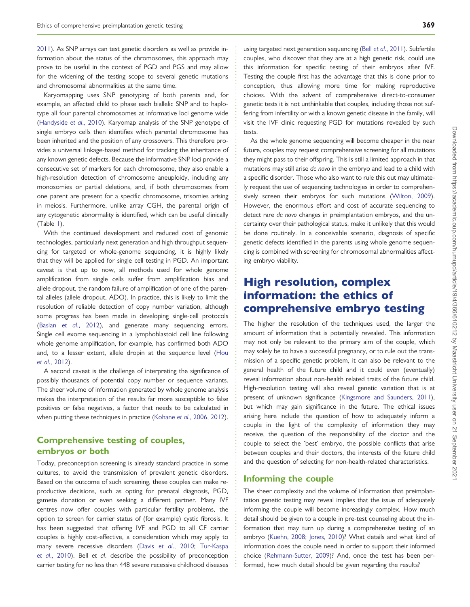[2011](#page-9-0)). As SNP arrays can test genetic disorders as well as provide information about the status of the chromosomes, this approach may prove to be useful in the context of PGD and PGS and may allow for the widening of the testing scope to several genetic mutations and chromosomal abnormalities at the same time.

Karyomapping uses SNP genotyping of both parents and, for example, an affected child to phase each biallelic SNP and to haplotype all four parental chromosomes at informative loci genome wide [\(Handyside](#page-9-0) et al., 2010). Karyomap analysis of the SNP genotype of single embryo cells then identifies which parental chromosome has been inherited and the position of any crossovers. This therefore provides a universal linkage-based method for tracking the inheritance of any known genetic defects. Because the informative SNP loci provide a consecutive set of markers for each chromosome, they also enable a high-resolution detection of chromosome aneuploidy, including any monosomies or partial deletions, and, if both chromosomes from one parent are present for a specific chromosome, trisomies arising in meiosis. Furthermore, unlike array CGH, the parental origin of any cytogenetic abnormality is identified, which can be useful clinically (Table [1](#page-5-0)).

With the continued development and reduced cost of genomic technologies, particularly next generation and high throughput sequencing for targeted or whole-genome sequencing, it is highly likely that they will be applied for single cell testing in PGD. An important caveat is that up to now, all methods used for whole genome amplification from single cells suffer from amplification bias and allele dropout, the random failure of amplification of one of the parental alleles (allele dropout, ADO). In practice, this is likely to limit the resolution of reliable detection of copy number variation, although some progress has been made in developing single-cell protocols (Baslan et al[., 2012\)](#page-9-0), and generate many sequencing errors. Single cell exome sequencing in a lymphoblastoid cell line following whole genome amplification, for example, has confirmed both ADO and, to a lesser extent, allele dropin at the sequence level ([Hou](#page-10-0) et al[., 2012\)](#page-10-0).

A second caveat is the challenge of interpreting the significance of possibly thousands of potential copy number or sequence variants. The sheer volume of information generated by whole genome analysis makes the interpretation of the results far more susceptible to false positives or false negatives, a factor that needs to be calculated in when putting these techniques in practice [\(Kohane](#page-10-0) et al., 2006, [2012\)](#page-10-0).

### Comprehensive testing of couples, embryos or both

Today, preconception screening is already standard practice in some cultures, to avoid the transmission of prevalent genetic disorders. Based on the outcome of such screening, these couples can make reproductive decisions, such as opting for prenatal diagnosis, PGD, gamete donation or even seeking a different partner. Many IVF centres now offer couples with particular fertility problems, the option to screen for carrier status of (for example) cystic fibrosis. It has been suggested that offering IVF and PGD to all CF carrier couples is highly cost-effective, a consideration which may apply to many severe recessive disorders (Davis et al[., 2010;](#page-9-0) [Tur-Kaspa](#page-10-0) et al[., 2010](#page-10-0)). Bell et al. describe the possibility of preconception carrier testing for no less than 448 severe recessive childhood diseases

using targeted next generation sequencing (Bell et al[., 2011](#page-9-0)). Subfertile couples, who discover that they are at a high genetic risk, could use this information for specific testing of their embryos after IVF. Testing the couple first has the advantage that this is done prior to conception, thus allowing more time for making reproductive choices. With the advent of comprehensive direct-to-consumer genetic tests it is not unthinkable that couples, including those not suffering from infertility or with a known genetic disease in the family, will visit the IVF clinic requesting PGD for mutations revealed by such tests.

As the whole genome sequencing will become cheaper in the near future, couples may request comprehensive screening for all mutations they might pass to their offspring. This is still a limited approach in that mutations may still arise de novo in the embryo and lead to a child with a specific disorder. Those who also want to rule this out may ultimately request the use of sequencing technologies in order to comprehensively screen their embryos for such mutations [\(Wilton, 2009\)](#page-10-0). However, the enormous effort and cost of accurate sequencing to detect rare de novo changes in preimplantation embryos, and the uncertainty over their pathological status, make it unlikely that this would be done routinely. In a conceivable scenario, diagnosis of specific genetic defects identified in the parents using whole genome sequencing is combined with screening for chromosomal abnormalities affecting embryo viability.

# High resolution, complex information: the ethics of comprehensive embryo testing

The higher the resolution of the techniques used, the larger the amount of information that is potentially revealed. This information may not only be relevant to the primary aim of the couple, which may solely be to have a successful pregnancy, or to rule out the transmission of a specific genetic problem, it can also be relevant to the general health of the future child and it could even (eventually) reveal information about non-health related traits of the future child. High-resolution testing will also reveal genetic variation that is at present of unknown significance ([Kingsmore and Saunders, 2011\)](#page-10-0), but which may gain significance in the future. The ethical issues arising here include the question of how to adequately inform a couple in the light of the complexity of information they may receive, the question of the responsibility of the doctor and the couple to select the 'best' embryo, the possible conflicts that arise between couples and their doctors, the interests of the future child and the question of selecting for non-health-related characteristics.

#### Informing the couple

The sheer complexity and the volume of information that preimplantation genetic testing may reveal implies that the issue of adequately informing the couple will become increasingly complex. How much detail should be given to a couple in pre-test counseling about the information that may turn up during a comprehensive testing of an embryo [\(Kuehn, 2008;](#page-10-0) [Jones, 2010\)](#page-10-0)? What details and what kind of information does the couple need in order to support their informed choice [\(Rehmann-Sutter, 2009\)](#page-10-0)? And, once the test has been performed, how much detail should be given regarding the results?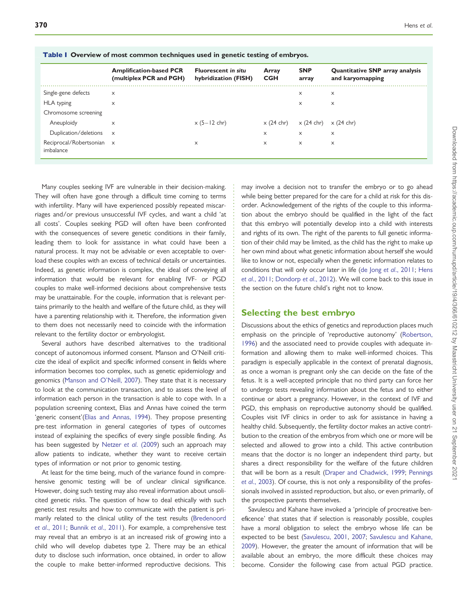|                                        | <b>Amplification-based PCR</b><br>(multiplex PCR and PGH) | <b>Fluorescent in situ</b><br>hybridization (FISH) | Array<br><b>CGH</b> | <b>SNP</b><br>array | Quantitative SNP array analysis<br>and karyomapping |
|----------------------------------------|-----------------------------------------------------------|----------------------------------------------------|---------------------|---------------------|-----------------------------------------------------|
| Single-gene defects                    | X                                                         |                                                    |                     | X                   | $\times$                                            |
| HLA typing                             | X                                                         |                                                    |                     | X                   | X                                                   |
| Chromosome screening                   |                                                           |                                                    |                     |                     |                                                     |
| Aneuploidy                             | X                                                         | $x (5 - 12 \text{ chr})$                           | $\times$ (24 chr)   | $\times$ (24 chr)   | $\times$ (24 chr)                                   |
| Duplication/deletions                  | $\times$                                                  |                                                    | X                   | $\times$            | X                                                   |
| Reciprocal/Robertsonian x<br>imbalance |                                                           | X                                                  | $\times$            | $\times$            | X                                                   |

<span id="page-5-0"></span>Table I Overview of most common techniques used in genetic testing of embryos.

Many couples seeking IVF are vulnerable in their decision-making. They will often have gone through a difficult time coming to terms with infertility. Many will have experienced possibly repeated miscarriages and/or previous unsuccessful IVF cycles, and want a child 'at all costs'. Couples seeking PGD will often have been confronted with the consequences of severe genetic conditions in their family, leading them to look for assistance in what could have been a natural process. It may not be advisable or even acceptable to overload these couples with an excess of technical details or uncertainties. Indeed, as genetic information is complex, the ideal of conveying all information that would be relevant for enabling IVF- or PGD couples to make well-informed decisions about comprehensive tests may be unattainable. For the couple, information that is relevant pertains primarily to the health and welfare of the future child, as they will have a parenting relationship with it. Therefore, the information given to them does not necessarily need to coincide with the information relevant to the fertility doctor or embryologist.

Several authors have described alternatives to the traditional concept of autonomous informed consent. Manson and O'Neill criticize the ideal of explicit and specific informed consent in fields where information becomes too complex, such as genetic epidemiology and genomics [\(Manson and O'Neill, 2007](#page-10-0)). They state that it is necessary to look at the communication transaction, and to assess the level of information each person in the transaction is able to cope with. In a population screening context, Elias and Annas have coined the term 'generic consent'[\(Elias and Annas, 1994](#page-9-0)). They propose presenting pre-test information in general categories of types of outcomes instead of explaining the specifics of every single possible finding. As has been suggested by Netzer et al[. \(2009\)](#page-10-0) such an approach may allow patients to indicate, whether they want to receive certain types of information or not prior to genomic testing.

At least for the time being, much of the variance found in comprehensive genomic testing will be of unclear clinical significance. However, doing such testing may also reveal information about unsolicited genetic risks. The question of how to deal ethically with such genetic test results and how to communicate with the patient is primarily related to the clinical utility of the test results ([Bredenoord](#page-9-0) et al[., 2011](#page-9-0); Bunnik et al[., 2011](#page-9-0)). For example, a comprehensive test may reveal that an embryo is at an increased risk of growing into a child who will develop diabetes type 2. There may be an ethical duty to disclose such information, once obtained, in order to allow the couple to make better-informed reproductive decisions. This

may involve a decision not to transfer the embryo or to go ahead while being better prepared for the care for a child at risk for this disorder. Acknowledgement of the rights of the couple to this information about the embryo should be qualified in the light of the fact that this embryo will potentially develop into a child with interests and rights of its own. The right of the parents to full genetic information of their child may be limited, as the child has the right to make up her own mind about what genetic information about herself she would like to know or not, especially when the genetic information relates to conditions that will only occur later in life [\(de Jong](#page-9-0) et al., 2011; [Hens](#page-10-0) et al[., 2011](#page-10-0); [Dondorp](#page-9-0) et al., 2012). We will come back to this issue in the section on the future child's right not to know.

#### Selecting the best embryo

Discussions about the ethics of genetics and reproduction places much emphasis on the principle of 'reproductive autonomy' [\(Robertson,](#page-10-0) [1996\)](#page-10-0) and the associated need to provide couples with adequate information and allowing them to make well-informed choices. This paradigm is especially applicable in the context of prenatal diagnosis, as once a woman is pregnant only she can decide on the fate of the fetus. It is a well-accepted principle that no third party can force her to undergo tests revealing information about the fetus and to either continue or abort a pregnancy. However, in the context of IVF and PGD, this emphasis on reproductive autonomy should be qualified. Couples visit IVF clinics in order to ask for assistance in having a healthy child. Subsequently, the fertility doctor makes an active contribution to the creation of the embryos from which one or more will be selected and allowed to grow into a child. This active contribution means that the doctor is no longer an independent third party, but shares a direct responsibility for the welfare of the future children that will be born as a result ([Draper and Chadwick, 1999;](#page-9-0) [Pennings](#page-10-0) et al[., 2003\)](#page-10-0). Of course, this is not only a responsibility of the professionals involved in assisted reproduction, but also, or even primarily, of the prospective parents themselves.

Savulescu and Kahane have invoked a 'principle of procreative beneficence' that states that if selection is reasonably possible, couples have a moral obligation to select the embryo whose life can be expected to be best ([Savulescu, 2001](#page-10-0), [2007;](#page-10-0) [Savulescu and Kahane,](#page-10-0) [2009\)](#page-10-0). However, the greater the amount of information that will be available about an embryo, the more difficult these choices may become. Consider the following case from actual PGD practice.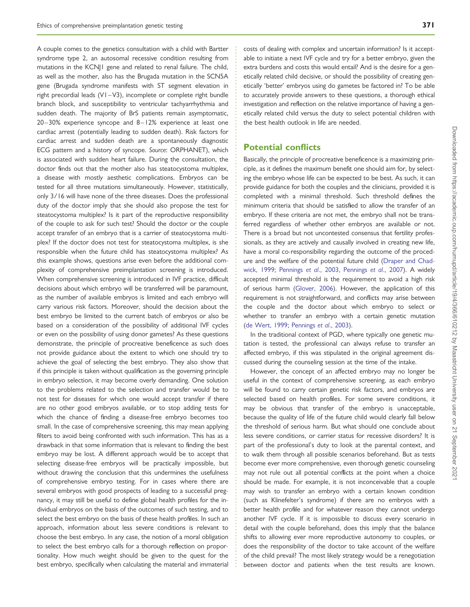A couple comes to the genetics consultation with a child with Bartter syndrome type 2, an autosomal recessive condition resulting from mutations in the KCNJ1 gene and related to renal failure. The child, as well as the mother, also has the Brugada mutation in the SCN5A gene (Brugada syndrome manifests with ST segment elevation in right precordial leads (V1 –V3), incomplete or complete right bundle branch block, and susceptibility to ventricular tachyarrhythmia and sudden death. The majority of BrS patients remain asymptomatic, 20 –30% experience syncope and 8–12% experience at least one cardiac arrest (potentially leading to sudden death). Risk factors for cardiac arrest and sudden death are a spontaneously diagnostic ECG pattern and a history of syncope. Source: ORPHANET), which is associated with sudden heart failure. During the consultation, the doctor finds out that the mother also has steatocystoma multiplex, a disease with mostly aesthetic complications. Embryos can be tested for all three mutations simultaneously. However, statistically, only 3/16 will have none of the three diseases. Does the professional duty of the doctor imply that she should also propose the test for steatocystoma multiplex? Is it part of the reproductive responsibility of the couple to ask for such test? Should the doctor or the couple accept transfer of an embryo that is a carrier of steatocystoma multiplex? If the doctor does not test for steatocystoma multiplex, is she responsible when the future child has steatocystoma multiplex? As this example shows, questions arise even before the additional complexity of comprehensive preimplantation screening is introduced. When comprehensive screening is introduced in IVF practice, difficult decisions about which embryo will be transferred will be paramount, as the number of available embryos is limited and each embryo will carry various risk factors. Moreover, should the decision about the best embryo be limited to the current batch of embryos or also be based on a consideration of the possibility of additional IVF cycles or even on the possibility of using donor gametes? As these questions demonstrate, the principle of procreative beneficence as such does not provide guidance about the extent to which one should try to achieve the goal of selecting the best embryo. They also show that if this principle is taken without qualification as the governing principle in embryo selection, it may become overly demanding. One solution to the problems related to the selection and transfer would be to not test for diseases for which one would accept transfer if there are no other good embryos available, or to stop adding tests for which the chance of finding a disease-free embryo becomes too small. In the case of comprehensive screening, this may mean applying filters to avoid being confronted with such information. This has as a drawback in that some information that is relevant to finding the best embryo may be lost. A different approach would be to accept that selecting disease-free embryos will be practically impossible, but without drawing the conclusion that this undermines the usefulness of comprehensive embryo testing. For in cases where there are several embryos with good prospects of leading to a successful pregnancy, it may still be useful to define global health profiles for the individual embryos on the basis of the outcomes of such testing, and to select the best embryo on the basis of these health profiles. In such an approach, information about less severe conditions is relevant to choose the best embryo. In any case, the notion of a moral obligation to select the best embryo calls for a thorough reflection on proportionality. How much weight should be given to the quest for the best embryo, specifically when calculating the material and immaterial costs of dealing with complex and uncertain information? Is it acceptable to initiate a next IVF cycle and try for a better embryo, given the extra burdens and costs this would entail? And is the desire for a genetically related child decisive, or should the possibility of creating genetically 'better' embryos using do gametes be factored in? To be able to accurately provide answers to these questions, a thorough ethical investigation and reflection on the relative importance of having a genetically related child versus the duty to select potential children with the best health outlook in life are needed.

#### Potential conflicts

Basically, the principle of procreative beneficence is a maximizing principle, as it defines the maximum benefit one should aim for, by selecting the embryo whose life can be expected to be best. As such, it can provide guidance for both the couples and the clinicians, provided it is completed with a minimal threshold. Such threshold defines the minimum criteria that should be satisfied to allow the transfer of an embryo. If these criteria are not met, the embryo shall not be transferred regardless of whether other embryos are available or not. There is a broad but not uncontested consensus that fertility professionals, as they are actively and causally involved in creating new life, have a moral co-responsibility regarding the outcome of the procedure and the welfare of the potential future child ([Draper and Chad](#page-9-0)[wick, 1999;](#page-9-0) [Pennings](#page-10-0) et al., 2003, [Pennings](#page-10-0) et al., 2007). A widely accepted minimal threshold is the requirement to avoid a high risk of serious harm [\(Glover, 2006](#page-9-0)). However, the application of this requirement is not straightforward, and conflicts may arise between the couple and the doctor about which embryo to select or whether to transfer an embryo with a certain genetic mutation [\(de Wert, 1999;](#page-9-0) [Pennings](#page-10-0) et al., 2003).

In the traditional context of PGD, where typically one genetic mutation is tested, the professional can always refuse to transfer an affected embryo, if this was stipulated in the original agreement discussed during the counseling session at the time of the intake.

However, the concept of an affected embryo may no longer be useful in the context of comprehensive screening, as each embryo will be found to carry certain genetic risk factors, and embryos are selected based on health profiles. For some severe conditions, it may be obvious that transfer of the embryo is unacceptable, because the quality of life of the future child would clearly fall below the threshold of serious harm. But what should one conclude about less severe conditions, or carrier status for recessive disorders? It is part of the professional's duty to look at the parental context, and to walk them through all possible scenarios beforehand. But as tests become ever more comprehensive, even thorough genetic counseling may not rule out all potential conflicts at the point when a choice should be made. For example, it is not inconceivable that a couple may wish to transfer an embryo with a certain known condition (such as Klinefelter's syndrome) if there are no embryos with a better health profile and for whatever reason they cannot undergo another IVF cycle. If it is impossible to discuss every scenario in detail with the couple beforehand, does this imply that the balance shifts to allowing ever more reproductive autonomy to couples, or does the responsibility of the doctor to take account of the welfare of the child prevail? The most likely strategy would be a renegotiation between doctor and patients when the test results are known.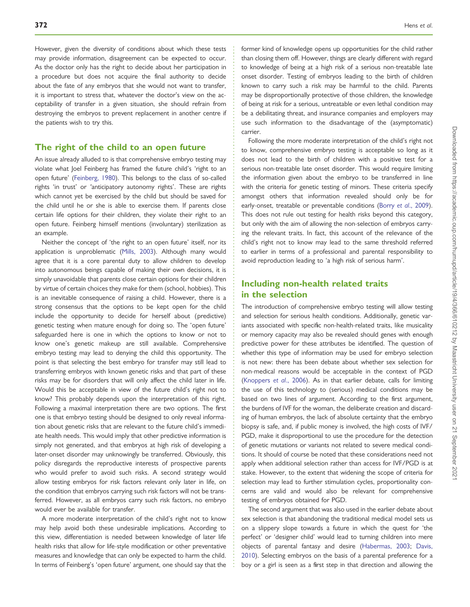However, given the diversity of conditions about which these tests may provide information, disagreement can be expected to occur. As the doctor only has the right to decide about her participation in a procedure but does not acquire the final authority to decide about the fate of any embryos that she would not want to transfer, it is important to stress that, whatever the doctor's view on the acceptability of transfer in a given situation, she should refrain from destroying the embryos to prevent replacement in another centre if the patients wish to try this.

#### The right of the child to an open future

An issue already alluded to is that comprehensive embryo testing may violate what Joel Feinberg has framed the future child's 'right to an open future' [\(Feinberg, 1980](#page-9-0)). This belongs to the class of so-called rights 'in trust' or 'anticipatory autonomy rights'. These are rights which cannot yet be exercised by the child but should be saved for the child until he or she is able to exercise them. If parents close certain life options for their children, they violate their right to an open future. Feinberg himself mentions (involuntary) sterilization as an example.

Neither the concept of 'the right to an open future' itself, nor its application is unproblematic ([Mills, 2003](#page-10-0)). Although many would agree that it is a core parental duty to allow children to develop into autonomous beings capable of making their own decisions, it is simply unavoidable that parents close certain options for their children by virtue of certain choices they make for them (school, hobbies). This is an inevitable consequence of raising a child. However, there is a strong consensus that the options to be kept open for the child include the opportunity to decide for herself about (predictive) genetic testing when mature enough for doing so. The 'open future' safeguarded here is one in which the options to know or not to know one's genetic makeup are still available. Comprehensive embryo testing may lead to denying the child this opportunity. The point is that selecting the best embryo for transfer may still lead to transferring embryos with known genetic risks and that part of these risks may be for disorders that will only affect the child later in life. Would this be acceptable in view of the future child's right not to know? This probably depends upon the interpretation of this right. Following a maximal interpretation there are two options. The first one is that embryo testing should be designed to only reveal information about genetic risks that are relevant to the future child's immediate health needs. This would imply that other predictive information is simply not generated, and that embryos at high risk of developing a later-onset disorder may unknowingly be transferred. Obviously, this policy disregards the reproductive interests of prospective parents who would prefer to avoid such risks. A second strategy would allow testing embryos for risk factors relevant only later in life, on the condition that embryos carrying such risk factors will not be transferred. However, as all embryos carry such risk factors, no embryo would ever be available for transfer.

A more moderate interpretation of the child's right not to know may help avoid both these undesirable implications. According to this view, differentiation is needed between knowledge of later life health risks that allow for life-style modification or other preventative measures and knowledge that can only be expected to harm the child. In terms of Feinberg's 'open future' argument, one should say that the

former kind of knowledge opens up opportunities for the child rather than closing them off. However, things are clearly different with regard to knowledge of being at a high risk of a serious non-treatable late onset disorder. Testing of embryos leading to the birth of children known to carry such a risk may be harmful to the child. Parents may be disproportionally protective of those children, the knowledge of being at risk for a serious, untreatable or even lethal condition may be a debilitating threat, and insurance companies and employers may use such information to the disadvantage of the (asymptomatic) carrier.

Following the more moderate interpretation of the child's right not to know, comprehensive embryo testing is acceptable so long as it does not lead to the birth of children with a positive test for a serious non-treatable late onset disorder. This would require limiting the information given about the embryo to be transferred in line with the criteria for genetic testing of minors. These criteria specify amongst others that information revealed should only be for early-onset, treatable or preventable conditions (Borry et al[., 2009\)](#page-9-0). This does not rule out testing for health risks beyond this category, but only with the aim of allowing the non-selection of embryos carrying the relevant traits. In fact, this account of the relevance of the child's right not to know may lead to the same threshold referred to earlier in terms of a professional and parental responsibility to avoid reproduction leading to 'a high risk of serious harm'.

### Including non-health related traits in the selection

The introduction of comprehensive embryo testing will allow testing and selection for serious health conditions. Additionally, genetic variants associated with specific non-health-related traits, like musicality or memory capacity may also be revealed should genes with enough predictive power for these attributes be identified. The question of whether this type of information may be used for embryo selection is not new: there has been debate about whether sex selection for non-medical reasons would be acceptable in the context of PGD ([Knoppers](#page-10-0) et al., 2006). As in that earlier debate, calls for limiting the use of this technology to (serious) medical conditions may be based on two lines of argument. According to the first argument, the burdens of IVF for the woman, the deliberate creation and discarding of human embryos, the lack of absolute certainty that the embryo biopsy is safe, and, if public money is involved, the high costs of IVF/ PGD, make it disproportional to use the procedure for the detection of genetic mutations or variants not related to severe medical conditions. It should of course be noted that these considerations need not apply when additional selection rather than access for IVF/PGD is at stake. However, to the extent that widening the scope of criteria for selection may lead to further stimulation cycles, proportionality concerns are valid and would also be relevant for comprehensive testing of embryos obtained for PGD.

The second argument that was also used in the earlier debate about sex selection is that abandoning the traditional medical model sets us on a slippery slope towards a future in which the quest for 'the perfect' or 'designer child' would lead to turning children into mere objects of parental fantasy and desire ([Habermas, 2003;](#page-9-0) [Davis,](#page-9-0) [2010\)](#page-9-0). Selecting embryos on the basis of a parental preference for a boy or a girl is seen as a first step in that direction and allowing the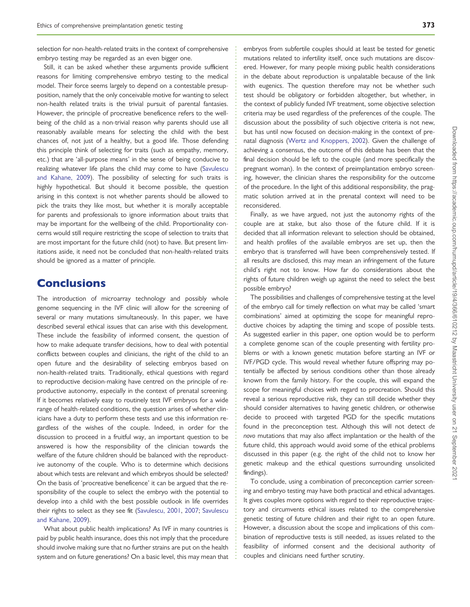selection for non-health-related traits in the context of comprehensive embryo testing may be regarded as an even bigger one.

Still, it can be asked whether these arguments provide sufficient reasons for limiting comprehensive embryo testing to the medical model. Their force seems largely to depend on a contestable presupposition, namely that the only conceivable motive for wanting to select non-health related traits is the trivial pursuit of parental fantasies. However, the principle of procreative beneficence refers to the wellbeing of the child as a non-trivial reason why parents should use all reasonably available means for selecting the child with the best chances of, not just of a healthy, but a good life. Those defending this principle think of selecting for traits (such as empathy, memory, etc.) that are 'all-purpose means' in the sense of being conducive to realizing whatever life plans the child may come to have ([Savulescu](#page-10-0) [and Kahane, 2009\)](#page-10-0). The possibility of selecting for such traits is highly hypothetical. But should it become possible, the question arising in this context is not whether parents should be allowed to pick the traits they like most, but whether it is morally acceptable for parents and professionals to ignore information about traits that may be important for the wellbeing of the child. Proportionality concerns would still require restricting the scope of selection to traits that are most important for the future child (not) to have. But present limitations aside, it need not be concluded that non-health-related traits should be ignored as a matter of principle.

### **Conclusions**

The introduction of microarray technology and possibly whole genome sequencing in the IVF clinic will allow for the screening of several or many mutations simultaneously. In this paper, we have described several ethical issues that can arise with this development. These include the feasibility of informed consent, the question of how to make adequate transfer decisions, how to deal with potential conflicts between couples and clinicians, the right of the child to an open future and the desirability of selecting embryos based on non-health-related traits. Traditionally, ethical questions with regard to reproductive decision-making have centred on the principle of reproductive autonomy, especially in the context of prenatal screening. If it becomes relatively easy to routinely test IVF embryos for a wide range of health-related conditions, the question arises of whether clinicians have a duty to perform these tests and use this information regardless of the wishes of the couple. Indeed, in order for the discussion to proceed in a fruitful way, an important question to be answered is how the responsibility of the clinician towards the welfare of the future children should be balanced with the reproductive autonomy of the couple. Who is to determine which decisions about which tests are relevant and which embryos should be selected? On the basis of 'procreative beneficence' it can be argued that the responsibility of the couple to select the embryo with the potential to develop into a child with the best possible outlook in life overrides their rights to select as they see fit [\(Savulescu, 2001,](#page-10-0) [2007;](#page-10-0) [Savulescu](#page-10-0) [and Kahane, 2009\)](#page-10-0).

What about public health implications? As IVF in many countries is paid by public health insurance, does this not imply that the procedure should involve making sure that no further strains are put on the health system and on future generations? On a basic level, this may mean that embryos from subfertile couples should at least be tested for genetic mutations related to infertility itself, once such mutations are discovered. However, for many people mixing public health considerations in the debate about reproduction is unpalatable because of the link with eugenics. The question therefore may not be whether such test should be obligatory or forbidden altogether, but whether, in the context of publicly funded IVF treatment, some objective selection criteria may be used regardless of the preferences of the couple. The discussion about the possibility of such objective criteria is not new, but has until now focused on decision-making in the context of prenatal diagnosis ([Wertz and Knoppers, 2002\)](#page-10-0). Given the challenge of achieving a consensus, the outcome of this debate has been that the final decision should be left to the couple (and more specifically the pregnant woman). In the context of preimplantation embryo screening, however, the clinician shares the responsibility for the outcome of the procedure. In the light of this additional responsibility, the pragmatic solution arrived at in the prenatal context will need to be reconsidered.

Finally, as we have argued, not just the autonomy rights of the couple are at stake, but also those of the future child. If it is decided that all information relevant to selection should be obtained, and health profiles of the available embryos are set up, then the embryo that is transferred will have been comprehensively tested. If all results are disclosed, this may mean an infringement of the future child's right not to know. How far do considerations about the rights of future children weigh up against the need to select the best possible embryo?

The possibilities and challenges of comprehensive testing at the level of the embryo call for timely reflection on what may be called 'smart combinations' aimed at optimizing the scope for meaningful reproductive choices by adapting the timing and scope of possible tests. As suggested earlier in this paper, one option would be to perform a complete genome scan of the couple presenting with fertility problems or with a known genetic mutation before starting an IVF or IVF/PGD cycle. This would reveal whether future offspring may potentially be affected by serious conditions other than those already known from the family history. For the couple, this will expand the scope for meaningful choices with regard to procreation. Should this reveal a serious reproductive risk, they can still decide whether they should consider alternatives to having genetic children, or otherwise decide to proceed with targeted PGD for the specific mutations found in the preconception test. Although this will not detect de novo mutations that may also affect implantation or the health of the future child, this approach would avoid some of the ethical problems discussed in this paper (e.g. the right of the child not to know her genetic makeup and the ethical questions surrounding unsolicited findings).

To conclude, using a combination of preconception carrier screening and embryo testing may have both practical and ethical advantages. It gives couples more options with regard to their reproductive trajectory and circumvents ethical issues related to the comprehensive genetic testing of future children and their right to an open future. However, a discussion about the scope and implications of this combination of reproductive tests is still needed, as issues related to the feasibility of informed consent and the decisional authority of couples and clinicians need further scrutiny.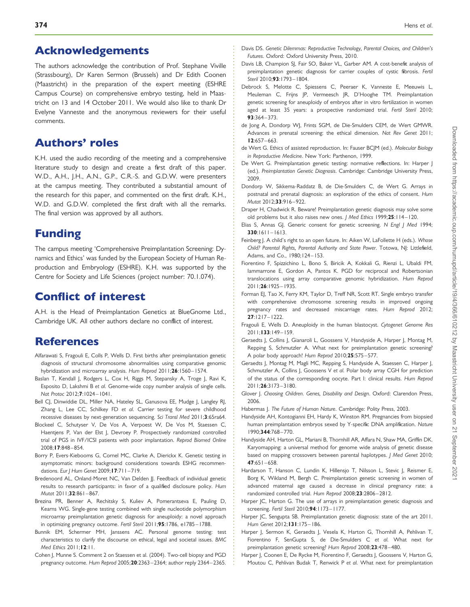## <span id="page-9-0"></span>Acknowledgements

The authors acknowledge the contribution of Prof. Stephane Viville (Strassbourg), Dr Karen Sermon (Brussels) and Dr Edith Coonen (Maastricht) in the preparation of the expert meeting (ESHRE Campus Course) on comprehensive embryo testing, held in Maastricht on 13 and 14 October 2011. We would also like to thank Dr Evelyne Vanneste and the anonymous reviewers for their useful comments.

# Authors' roles

K.H. used the audio recording of the meeting and a comprehensive literature study to design and create a first draft of this paper. W.D., A.H., J.H., A.N., G.P., C.R.-S. and G.D.W. were presenters at the campus meeting. They contributed a substantial amount of the research for this paper, and commented on the first draft. K.H., W.D. and G.D.W. completed the first draft with all the remarks. The final version was approved by all authors.

# Funding

The campus meeting 'Comprehensive Preimplantation Screening: Dynamics and Ethics' was funded by the European Society of Human Reproduction and Embryology (ESHRE). K.H. was supported by the Centre for Society and Life Sciences (project number: 70.1.074).

# Conflict of interest

A.H. is the Head of Preimplantation Genetics at BlueGnome Ltd., Cambridge UK. All other authors declare no conflict of interest.

# References

- Alfarawati S, Fragouli E, Colls P, Wells D. First births after preimplantation genetic diagnosis of structural chromosome abnormalities using comparative genomic hybridization and microarray analysis. Hum Reprod 2011;26:1560-1574.
- Baslan T, Kendall J, Rodgers L, Cox H, Riggs M, Stepansky A, Troge J, Ravi K, Esposito D, Lakshmi B et al. Genome-wide copy number analysis of single cells. Nat Protoc 2012;7:1024-1041.
- Bell CJ, Dinwiddie DL, Miller NA, Hateley SL, Ganusova EE, Mudge J, Langley RJ, Zhang L, Lee CC, Schilkey FD et al. Carrier testing for severe childhood recessive diseases by next-generation sequencing. Sci Transl Med 2011;3:65ra64.
- Blockeel C, Schutyser V, De Vos A, Verpoest W, De Vos M, Staessen C, Haentjens P, Van der Elst J, Devroey P. Prospectively randomized controlled trial of PGS in IVF/ICSI patients with poor implantation. Reprod Biomed Online 2008;17:848 –854.
- Borry P, Evers-Kiebooms G, Cornel MC, Clarke A, Dierickx K. Genetic testing in asymptomatic minors: background considerations towards ESHG recommendations. Eur J Hum Genet 2009; 17:711-719.
- Bredenoord AL, Onland-Moret NC, Van Delden JJ. Feedback of individual genetic results to research participants: in favor of a qualified disclosure policy. Hum Mutat 2011;32:861-867.
- Brezina PR, Benner A, Rechitsky S, Kuliev A, Pomerantseva E, Pauling D, Kearns WG. Single-gene testing combined with single nucleotide polymorphism microarray preimplantation genetic diagnosis for aneuploidy: a novel approach in optimizing pregnancy outcome. Fertil Steril 2011;95:1786, e1785-1788.
- Bunnik EM, Schermer MH, Janssens AC. Personal genome testing: test characteristics to clarify the discourse on ethical, legal and societal issues. BMC Med Ethics 2011;12:11.
- Cohen J, Munne S. Comment 2 on Staessen et al. (2004). Two-cell biopsy and PGD pregnancy outcome. Hum Reprod 2005;20:2363-2364; author reply 2364-2365.
- Davis DS. Genetic Dilemmas: Reproductive Technology, Parental Choices, and Children's Futures. Oxford: Oxford University Press, 2010.
- Davis LB, Champion SJ, Fair SO, Baker VL, Garber AM. A cost-benefit analysis of preimplantation genetic diagnosis for carrier couples of cystic fibrosis. Fertil Steril 2010;93:1793-1804.
- Debrock S, Melotte C, Spiessens C, Peeraer K, Vanneste E, Meeuwis L, Meuleman C, Frijns JP, Vermeesch JR, D'Hooghe TM. Preimplantation genetic screening for aneuploidy of embryos after in vitro fertilization in women aged at least 35 years: a prospective randomized trial. Fertil Steril 2010; 93:364– 373.
- de Jong A, Dondorp WJ, Frints SGM, de Die-Smulders CEM, de Wert GMWR. Advances in prenatal screening: the ethical dimension. Nat Rev Genet 2011;  $12:657-663$
- de Wert G. Ethics of assisted reproduction. In: Fauser BCJM (ed.). Molecular Biology in Reproductive Medicine. New York: Parthenon, 1999.
- De Wert G. Preimplantation genetic testing: normative reflections. In: Harper J (ed.). Preimplantation Genetic Diagnosis. Cambridge: Cambridge University Press, 2009.
- Dondorp W, Sikkema-Raddatz B, de Die-Smulders C, de Wert G. Arrays in postnatal and prenatal diagnosis: an exploration of the ethics of consent. Hum Mutat 2012;33:916-922.
- Draper H, Chadwick R. Beware! Preimplantation genetic diagnosis may solve some old problems but it also raises new ones. J Med Ethics 1999;25:114-120.
- Elias S, Annas GJ. Generic consent for genetic screening. N Engl J Med 1994;  $330 \cdot 1611 - 1613$
- Feinberg J. A child's right to an open future. In: Aiken W, LaFollette H (eds.). Whose Child? Parental Rights, Parental Authority and State Power. Totowa, NJ: Littlefield, Adams, and Co., 1980;124-153.
- Fiorentino F, Spizzichino L, Bono S, Biricik A, Kokkali G, Rienzi L, Ubaldi FM, Iammarrone E, Gordon A, Pantos K. PGD for reciprocal and Robertsonian translocations using array comparative genomic hybridization. Hum Reprod 2011;26:1925 –1935.
- Forman EJ, Tao X, Ferry KM, Taylor D, Treff NR, Scott RT. Single embryo transfer with comprehensive chromosome screening results in improved ongoing pregnancy rates and decreased miscarriage rates. Hum Reprod 2012; 27:1217– 1222.
- Fragouli E, Wells D. Aneuploidy in the human blastocyst. Cytogenet Genome Res 2011;133:149– 159.
- Geraedts J, Collins J, Gianaroli L, Goossens V, Handyside A, Harper J, Montag M, Repping S, Schmutzler A. What next for preimplantation genetic screening? A polar body approach! Hum Reprod 2010;25:575– 577.
- Geraedts J, Montag M, Magli MC, Repping S, Handyside A, Staessen C, Harper J, Schmutzler A, Collins J, Goossens V et al. Polar body array CGH for prediction of the status of the corresponding oocyte. Part I: clinical results. Hum Reprod 2011;26:3173 –3180.
- Glover J. Choosing Children. Genes, Disability and Design. Oxford: Clarendon Press, 2006.
- Habermas J. The Future of Human Nature. Cambridge: Polity Press, 2003.
- Handyside AH, Kontogianni EH, Hardy K, Winston RM. Pregnancies from biopsied human preimplantation embryos sexed by Y-specific DNA amplification. Nature 1990;344:768– 770.
- Handyside AH, Harton GL, Mariani B, Thornhill AR, Affara N, Shaw MA, Griffin DK. Karyomapping: a universal method for genome wide analysis of genetic disease based on mapping crossovers between parental haplotypes. J Med Genet 2010;  $47:651 - 658$
- Hardarson T, Hanson C, Lundin K, Hillensjo T, Nilsson L, Stevic J, Reismer E, Borg K, Wikland M, Bergh C. Preimplantation genetic screening in women of advanced maternal age caused a decrease in clinical pregnancy rate: a randomized controlled trial. Hum Reprod 2008;23:2806– 2812.
- Harper JC, Harton G. The use of arrays in preimplantation genetic diagnosis and screening. Fertil Steril 2010;94:1173– 1177.
- Harper JC, Sengupta SB. Preimplantation genetic diagnosis: state of the art 2011. Hum Genet 2012;131:175– 186.
- Harper J, Sermon K, Geraedts J, Vesela K, Harton G, Thornhill A, Pehlivan T, Fiorentino F, SenGupta S, de Die-Smulders C et al. What next for preimplantation genetic screening? Hum Reprod 2008;23:478-480.
- Harper J, Coonen E, De Rycke M, Fiorentino F, Geraedts J, Goossens V, Harton G, Moutou C, Pehlivan Budak T, Renwick P et al. What next for preimplantation